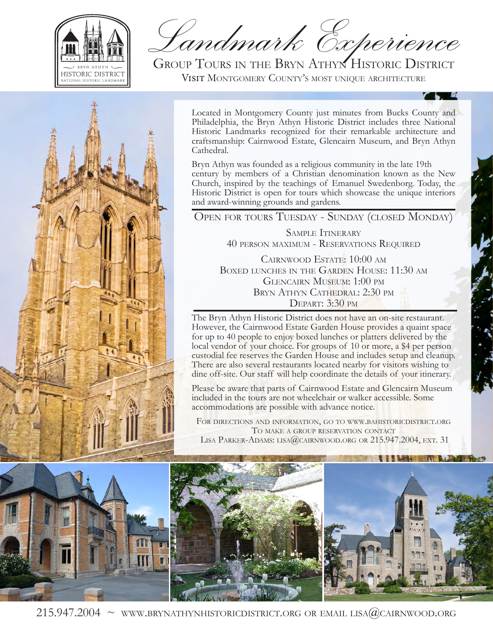

*Landmark Experience*

Group Tours in the Bryn Athyn Historic District Visit Montgomery County's most unique architecture



Located in Montgomery County just minutes from Bucks County and Philadelphia, the Bryn Athyn Historic District includes three National Historic Landmarks recognized for their remarkable architecture and craftsmanship: Cairnwood Estate, Glencairn Museum, and Bryn Athyn Cathedral.

Bryn Athyn was founded as a religious community in the late 19th century by members of a Christian denomination known as the New Church, inspired by the teachings of Emanuel Swedenborg. Today, the Historic District is open for tours which showcase the unique interiors and award-winning grounds and gardens.

Open for tours Tuesday - Sunday (closed Monday)

SAMPLE ITINERARY 40 person maximum - Reservations Required

Cairnwood Estate: 10:00 am Boxed lunches in the Garden House: 11:30 am Glencairn Museum: 1:00 pm Bryn Athyn Cathedral: 2:30 pm Depart: 3:30 pm

The Bryn Athyn Historic District does not have an on-site restaurant. However, the Cairnwood Estate Garden House provides a quaint space for up to 40 people to enjoy boxed lunches or platters delivered by the local vendor of your choice. For groups of 10 or more, a \$4 per person custodial fee reserves the Garden House and includes setup and cleanup. There are also several restaurants located nearby for visitors wishing to dine off-site. Our staff will help coordinate the details of your itinerary.

Please be aware that parts of Cairnwood Estate and Glencairn Museum included in the tours are not wheelchair or walker accessible. Some accommodations are possible with advance notice.

For directions and information, go to www.bahistoricdistrict.org To make a group reservation contact LISA PARKER-ADAMS: LISA@CAIRNWOOD.ORG OR 215.947.2004, EXT. 31



215.947.2004  $\sim$  www.brynathynhistoricdistrict.org or email lisa(*a*)cairnwood.org